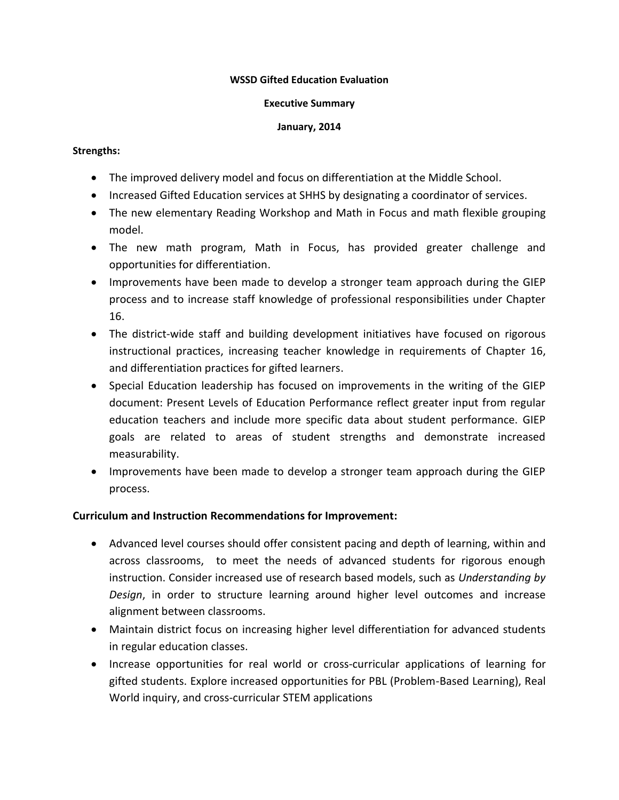#### **WSSD Gifted Education Evaluation**

#### **Executive Summary**

#### **January, 2014**

#### **Strengths:**

- The improved delivery model and focus on differentiation at the Middle School.
- Increased Gifted Education services at SHHS by designating a coordinator of services.
- The new elementary Reading Workshop and Math in Focus and math flexible grouping model.
- The new math program, Math in Focus, has provided greater challenge and opportunities for differentiation.
- Improvements have been made to develop a stronger team approach during the GIEP process and to increase staff knowledge of professional responsibilities under Chapter 16.
- The district-wide staff and building development initiatives have focused on rigorous instructional practices, increasing teacher knowledge in requirements of Chapter 16, and differentiation practices for gifted learners.
- Special Education leadership has focused on improvements in the writing of the GIEP document: Present Levels of Education Performance reflect greater input from regular education teachers and include more specific data about student performance. GIEP goals are related to areas of student strengths and demonstrate increased measurability.
- Improvements have been made to develop a stronger team approach during the GIEP process.

# **Curriculum and Instruction Recommendations for Improvement:**

- Advanced level courses should offer consistent pacing and depth of learning, within and across classrooms, to meet the needs of advanced students for rigorous enough instruction. Consider increased use of research based models, such as *Understanding by Design*, in order to structure learning around higher level outcomes and increase alignment between classrooms.
- Maintain district focus on increasing higher level differentiation for advanced students in regular education classes.
- Increase opportunities for real world or cross-curricular applications of learning for gifted students. Explore increased opportunities for PBL (Problem-Based Learning), Real World inquiry, and cross-curricular STEM applications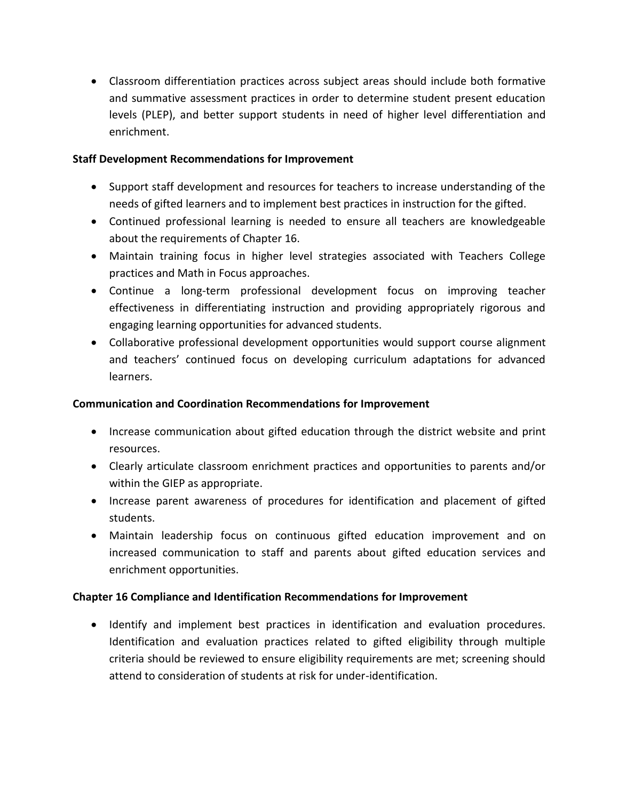Classroom differentiation practices across subject areas should include both formative and summative assessment practices in order to determine student present education levels (PLEP), and better support students in need of higher level differentiation and enrichment.

### **Staff Development Recommendations for Improvement**

- Support staff development and resources for teachers to increase understanding of the needs of gifted learners and to implement best practices in instruction for the gifted.
- Continued professional learning is needed to ensure all teachers are knowledgeable about the requirements of Chapter 16.
- Maintain training focus in higher level strategies associated with Teachers College practices and Math in Focus approaches.
- Continue a long-term professional development focus on improving teacher effectiveness in differentiating instruction and providing appropriately rigorous and engaging learning opportunities for advanced students.
- Collaborative professional development opportunities would support course alignment and teachers' continued focus on developing curriculum adaptations for advanced learners.

# **Communication and Coordination Recommendations for Improvement**

- Increase communication about gifted education through the district website and print resources.
- Clearly articulate classroom enrichment practices and opportunities to parents and/or within the GIEP as appropriate.
- Increase parent awareness of procedures for identification and placement of gifted students.
- Maintain leadership focus on continuous gifted education improvement and on increased communication to staff and parents about gifted education services and enrichment opportunities.

# **Chapter 16 Compliance and Identification Recommendations for Improvement**

 Identify and implement best practices in identification and evaluation procedures. Identification and evaluation practices related to gifted eligibility through multiple criteria should be reviewed to ensure eligibility requirements are met; screening should attend to consideration of students at risk for under-identification.